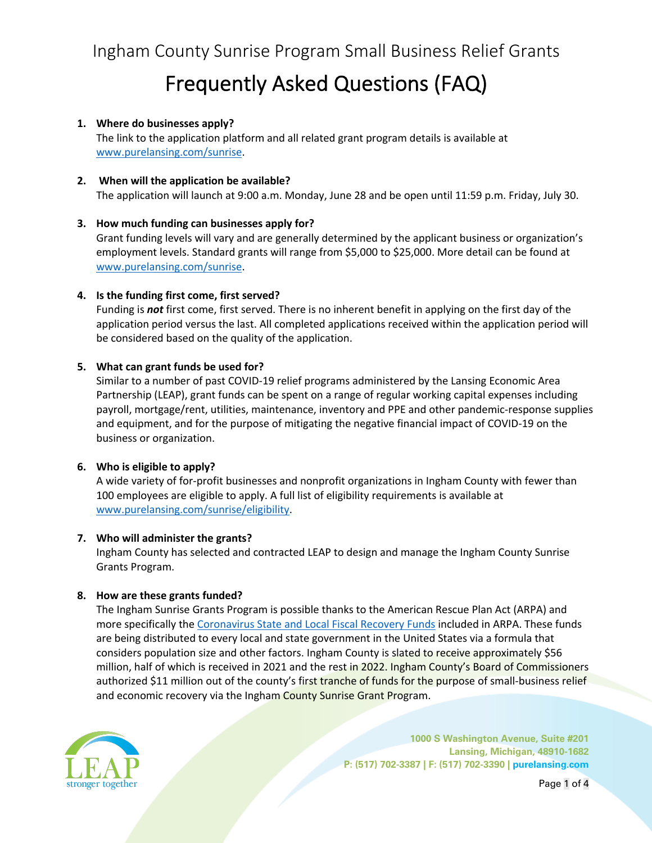# Frequently Asked Questions (FAQ)

## **1. Where do businesses apply?**

The link to the application platform and all related grant program details is available at www.purelansing.com/sunrise.

## **2. When will the application be available?**

The application will launch at 9:00 a.m. Monday, June 28 and be open until 11:59 p.m. Friday, July 30.

## **3. How much funding can businesses apply for?**

Grant funding levels will vary and are generally determined by the applicant business or organization's employment levels. Standard grants will range from \$5,000 to \$25,000. More detail can be found at www.purelansing.com/sunrise.

## **4. Is the funding first come, first served?**

Funding is *not* first come, first served. There is no inherent benefit in applying on the first day of the application period versus the last. All completed applications received within the application period will be considered based on the quality of the application.

## **5. What can grant funds be used for?**

Similar to a number of past COVID-19 relief programs administered by the Lansing Economic Area Partnership (LEAP), grant funds can be spent on a range of regular working capital expenses including payroll, mortgage/rent, utilities, maintenance, inventory and PPE and other pandemic-response supplies and equipment, and for the purpose of mitigating the negative financial impact of COVID-19 on the business or organization.

# **6. Who is eligible to apply?**

A wide variety of for-profit businesses and nonprofit organizations in Ingham County with fewer than 100 employees are eligible to apply. A full list of eligibility requirements is available at www.purelansing.com/sunrise/eligibility.

#### **7. Who will administer the grants?**

Ingham County has selected and contracted LEAP to design and manage the Ingham County Sunrise Grants Program.

#### **8. How are these grants funded?**

The Ingham Sunrise Grants Program is possible thanks to the American Rescue Plan Act (ARPA) and more specifically the Coronavirus State and Local Fiscal Recovery Funds included in ARPA. These funds are being distributed to every local and state government in the United States via a formula that considers population size and other factors. Ingham County is slated to receive approximately \$56 million, half of which is received in 2021 and the rest in 2022. Ingham County's Board of Commissioners authorized \$11 million out of the county's first tranche of funds for the purpose of small-business relief and economic recovery via the Ingham County Sunrise Grant Program.



**1000 S Washington Avenue, Suite #201 Lansing, Michigan, 48910-1682 P: (517) 702-3387 | F: (517) 702-3390 | purelansing.com**

Page 1 of 4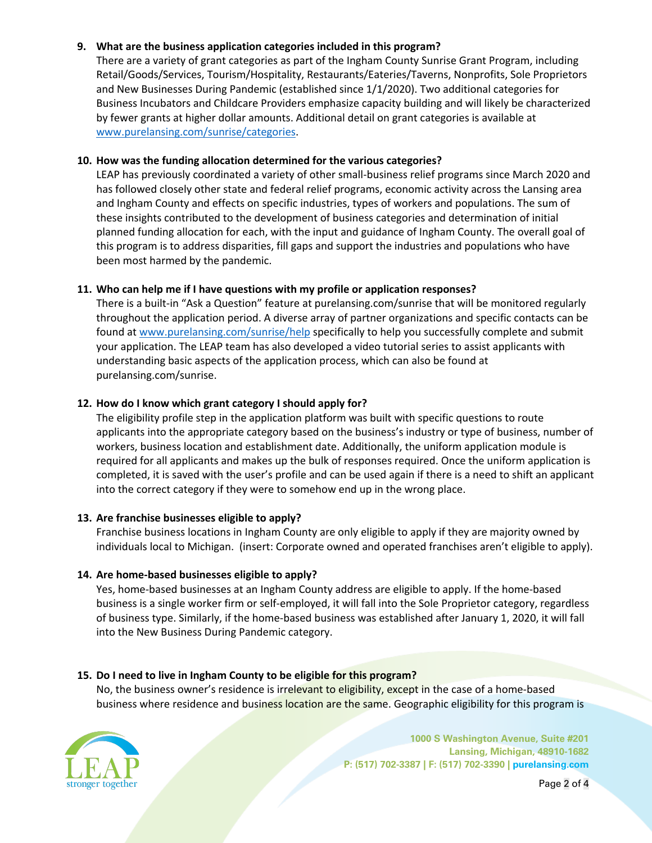# **9. What are the business application categories included in this program?**

There are a variety of grant categories as part of the Ingham County Sunrise Grant Program, including Retail/Goods/Services, Tourism/Hospitality, Restaurants/Eateries/Taverns, Nonprofits, Sole Proprietors and New Businesses During Pandemic (established since 1/1/2020). Two additional categories for Business Incubators and Childcare Providers emphasize capacity building and will likely be characterized by fewer grants at higher dollar amounts. Additional detail on grant categories is available at www.purelansing.com/sunrise/categories.

#### **10. How was the funding allocation determined for the various categories?**

LEAP has previously coordinated a variety of other small-business relief programs since March 2020 and has followed closely other state and federal relief programs, economic activity across the Lansing area and Ingham County and effects on specific industries, types of workers and populations. The sum of these insights contributed to the development of business categories and determination of initial planned funding allocation for each, with the input and guidance of Ingham County. The overall goal of this program is to address disparities, fill gaps and support the industries and populations who have been most harmed by the pandemic.

#### **11. Who can help me if I have questions with my profile or application responses?**

There is a built-in "Ask a Question" feature at purelansing.com/sunrise that will be monitored regularly throughout the application period. A diverse array of partner organizations and specific contacts can be found at www.purelansing.com/sunrise/help specifically to help you successfully complete and submit your application. The LEAP team has also developed a video tutorial series to assist applicants with understanding basic aspects of the application process, which can also be found at purelansing.com/sunrise.

## **12. How do I know which grant category I should apply for?**

The eligibility profile step in the application platform was built with specific questions to route applicants into the appropriate category based on the business's industry or type of business, number of workers, business location and establishment date. Additionally, the uniform application module is required for all applicants and makes up the bulk of responses required. Once the uniform application is completed, it is saved with the user's profile and can be used again if there is a need to shift an applicant into the correct category if they were to somehow end up in the wrong place.

#### **13. Are franchise businesses eligible to apply?**

Franchise business locations in Ingham County are only eligible to apply if they are majority owned by individuals local to Michigan. (insert: Corporate owned and operated franchises aren't eligible to apply).

#### **14. Are home-based businesses eligible to apply?**

Yes, home-based businesses at an Ingham County address are eligible to apply. If the home-based business is a single worker firm or self-employed, it will fall into the Sole Proprietor category, regardless of business type. Similarly, if the home-based business was established after January 1, 2020, it will fall into the New Business During Pandemic category.

#### **15. Do I need to live in Ingham County to be eligible for this program?**

No, the business owner's residence is irrelevant to eligibility, except in the case of a home-based business where residence and business location are the same. Geographic eligibility for this program is



**1000 S Washington Avenue, Suite #201 Lansing, Michigan, 48910-1682 P: (517) 702-3387 | F: (517) 702-3390 | purelansing.com**

Page 2 of 4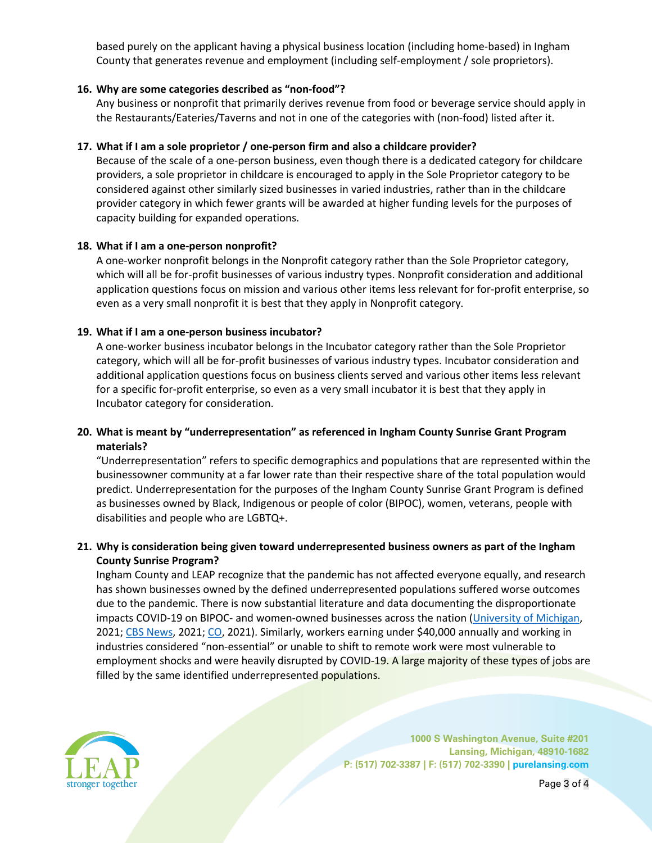based purely on the applicant having a physical business location (including home-based) in Ingham County that generates revenue and employment (including self-employment / sole proprietors).

### **16. Why are some categories described as "non-food"?**

Any business or nonprofit that primarily derives revenue from food or beverage service should apply in the Restaurants/Eateries/Taverns and not in one of the categories with (non-food) listed after it.

### **17. What if I am a sole proprietor / one-person firm and also a childcare provider?**

Because of the scale of a one-person business, even though there is a dedicated category for childcare providers, a sole proprietor in childcare is encouraged to apply in the Sole Proprietor category to be considered against other similarly sized businesses in varied industries, rather than in the childcare provider category in which fewer grants will be awarded at higher funding levels for the purposes of capacity building for expanded operations.

## **18. What if I am a one-person nonprofit?**

A one-worker nonprofit belongs in the Nonprofit category rather than the Sole Proprietor category, which will all be for-profit businesses of various industry types. Nonprofit consideration and additional application questions focus on mission and various other items less relevant for for-profit enterprise, so even as a very small nonprofit it is best that they apply in Nonprofit category.

#### **19. What if I am a one-person business incubator?**

A one-worker business incubator belongs in the Incubator category rather than the Sole Proprietor category, which will all be for-profit businesses of various industry types. Incubator consideration and additional application questions focus on business clients served and various other items less relevant for a specific for-profit enterprise, so even as a very small incubator it is best that they apply in Incubator category for consideration.

## **20. What is meant by "underrepresentation" as referenced in Ingham County Sunrise Grant Program materials?**

"Underrepresentation" refers to specific demographics and populations that are represented within the businessowner community at a far lower rate than their respective share of the total population would predict. Underrepresentation for the purposes of the Ingham County Sunrise Grant Program is defined as businesses owned by Black, Indigenous or people of color (BIPOC), women, veterans, people with disabilities and people who are LGBTQ+.

## **21. Why is consideration being given toward underrepresented business owners as part of the Ingham County Sunrise Program?**

Ingham County and LEAP recognize that the pandemic has not affected everyone equally, and research has shown businesses owned by the defined underrepresented populations suffered worse outcomes due to the pandemic. There is now substantial literature and data documenting the disproportionate impacts COVID-19 on BIPOC- and women-owned businesses across the nation (University of Michigan, 2021; CBS News, 2021; CO, 2021). Similarly, workers earning under \$40,000 annually and working in industries considered "non-essential" or unable to shift to remote work were most vulnerable to employment shocks and were heavily disrupted by COVID-19. A large majority of these types of jobs are filled by the same identified underrepresented populations.



**1000 S Washington Avenue, Suite #201 Lansing, Michigan, 48910-1682 P: (517) 702-3387 | F: (517) 702-3390 | purelansing.com**

Page 3 of 4